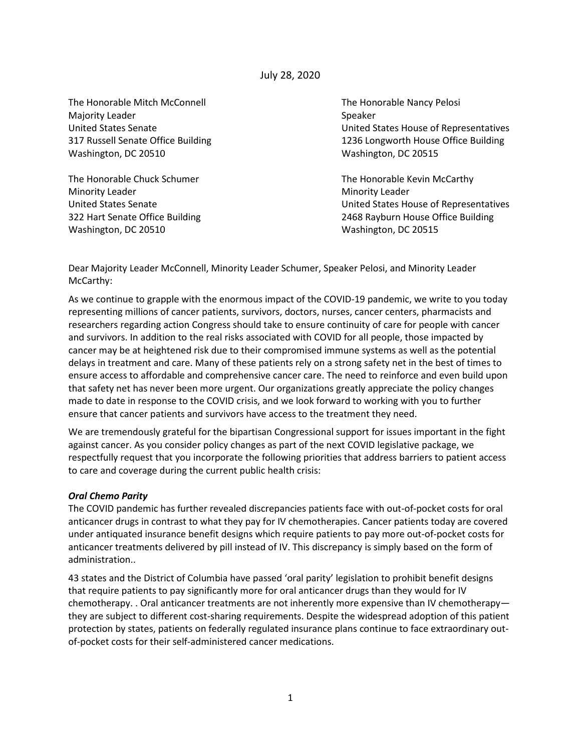July 28, 2020

The Honorable Mitch McConnell The Honorable Nancy Pelosi Majority Leader National Accounts of the Speaker Speaker Washington, DC 20510 Washington, DC 20515

The Honorable Chuck Schumer The Honorable Kevin McCarthy Minority Leader **Minority Leader** Minority Leader Washington, DC 20510 Washington, DC 20515

United States Senate United States House of Representatives 317 Russell Senate Office Building 1236 Longworth House Office Building

United States Senate United States House of Representatives 322 Hart Senate Office Building 2468 Rayburn House Office Building

Dear Majority Leader McConnell, Minority Leader Schumer, Speaker Pelosi, and Minority Leader McCarthy:

As we continue to grapple with the enormous impact of the COVID-19 pandemic, we write to you today representing millions of cancer patients, survivors, doctors, nurses, cancer centers, pharmacists and researchers regarding action Congress should take to ensure continuity of care for people with cancer and survivors. In addition to the real risks associated with COVID for all people, those impacted by cancer may be at heightened risk due to their compromised immune systems as well as the potential delays in treatment and care. Many of these patients rely on a strong safety net in the best of times to ensure access to affordable and comprehensive cancer care. The need to reinforce and even build upon that safety net has never been more urgent. Our organizations greatly appreciate the policy changes made to date in response to the COVID crisis, and we look forward to working with you to further ensure that cancer patients and survivors have access to the treatment they need.

We are tremendously grateful for the bipartisan Congressional support for issues important in the fight against cancer. As you consider policy changes as part of the next COVID legislative package, we respectfully request that you incorporate the following priorities that address barriers to patient access to care and coverage during the current public health crisis:

## *Oral Chemo Parity*

The COVID pandemic has further revealed discrepancies patients face with out-of-pocket costs for oral anticancer drugs in contrast to what they pay for IV chemotherapies. Cancer patients today are covered under antiquated insurance benefit designs which require patients to pay more out-of-pocket costs for anticancer treatments delivered by pill instead of IV. This discrepancy is simply based on the form of administration..

43 states and the District of Columbia have passed 'oral parity' legislation to prohibit benefit designs that require patients to pay significantly more for oral anticancer drugs than they would for IV chemotherapy. . Oral anticancer treatments are not inherently more expensive than IV chemotherapy they are subject to different cost-sharing requirements. Despite the widespread adoption of this patient protection by states, patients on federally regulated insurance plans continue to face extraordinary outof-pocket costs for their self-administered cancer medications.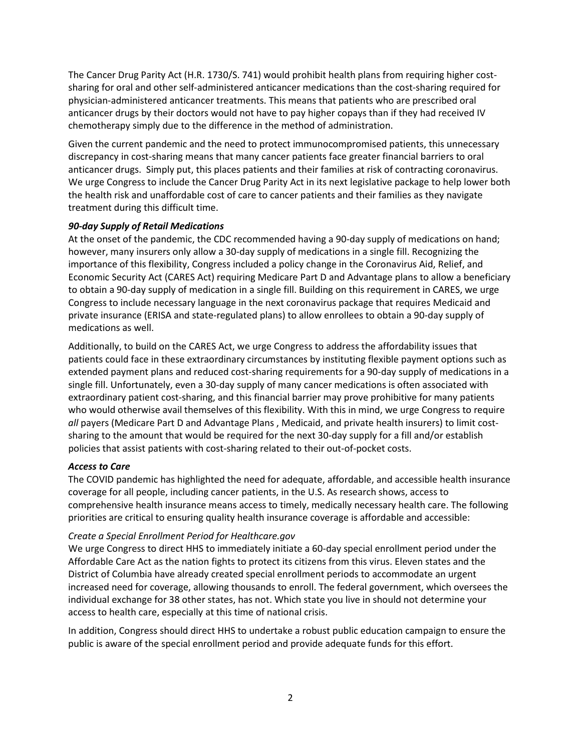The Cancer Drug Parity Act (H.R. 1730/S. 741) would prohibit health plans from requiring higher costsharing for oral and other self-administered anticancer medications than the cost-sharing required for physician-administered anticancer treatments. This means that patients who are prescribed oral anticancer drugs by their doctors would not have to pay higher copays than if they had received IV chemotherapy simply due to the difference in the method of administration.

Given the current pandemic and the need to protect immunocompromised patients, this unnecessary discrepancy in cost-sharing means that many cancer patients face greater financial barriers to oral anticancer drugs. Simply put, this places patients and their families at risk of contracting coronavirus. We urge Congress to include the Cancer Drug Parity Act in its next legislative package to help lower both the health risk and unaffordable cost of care to cancer patients and their families as they navigate treatment during this difficult time.

## *90-day Supply of Retail Medications*

At the onset of the pandemic, the CDC recommended having a 90-day supply of medications on hand; however, many insurers only allow a 30-day supply of medications in a single fill. Recognizing the importance of this flexibility, Congress included a policy change in the Coronavirus Aid, Relief, and Economic Security Act (CARES Act) requiring Medicare Part D and Advantage plans to allow a beneficiary to obtain a 90-day supply of medication in a single fill. Building on this requirement in CARES, we urge Congress to include necessary language in the next coronavirus package that requires Medicaid and private insurance (ERISA and state-regulated plans) to allow enrollees to obtain a 90-day supply of medications as well.

Additionally, to build on the CARES Act, we urge Congress to address the affordability issues that patients could face in these extraordinary circumstances by instituting flexible payment options such as extended payment plans and reduced cost-sharing requirements for a 90-day supply of medications in a single fill. Unfortunately, even a 30-day supply of many cancer medications is often associated with extraordinary patient cost-sharing, and this financial barrier may prove prohibitive for many patients who would otherwise avail themselves of this flexibility. With this in mind, we urge Congress to require *all* payers (Medicare Part D and Advantage Plans , Medicaid, and private health insurers) to limit costsharing to the amount that would be required for the next 30-day supply for a fill and/or establish policies that assist patients with cost-sharing related to their out-of-pocket costs.

# *Access to Care*

The COVID pandemic has highlighted the need for adequate, affordable, and accessible health insurance coverage for all people, including cancer patients, in the U.S. As research shows, access to comprehensive health insurance means access to timely, medically necessary health care. The following priorities are critical to ensuring quality health insurance coverage is affordable and accessible:

## *Create a Special Enrollment Period for Healthcare.gov*

We urge Congress to direct HHS to immediately initiate a 60-day special enrollment period under the Affordable Care Act as the nation fights to protect its citizens from this virus. Eleven states and the District of Columbia have already created special enrollment periods to accommodate an urgent increased need for coverage, allowing thousands to enroll. The federal government, which oversees the individual exchange for 38 other states, has not. Which state you live in should not determine your access to health care, especially at this time of national crisis.

In addition, Congress should direct HHS to undertake a robust public education campaign to ensure the public is aware of the special enrollment period and provide adequate funds for this effort.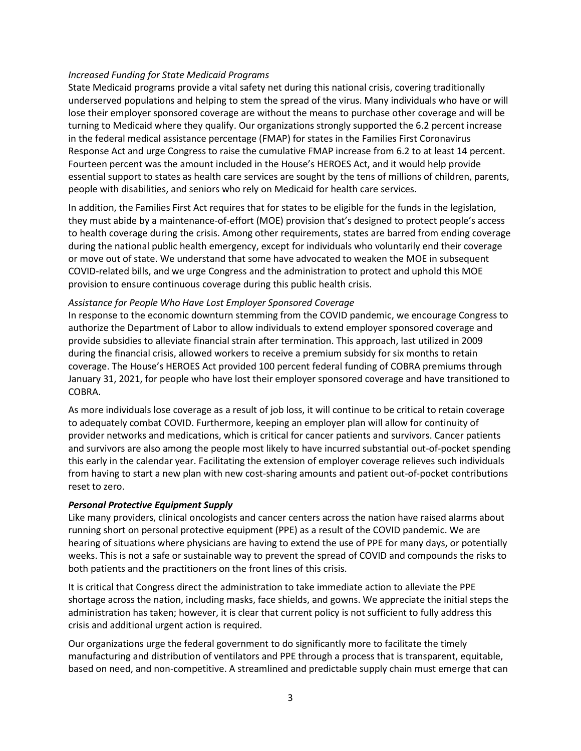#### *Increased Funding for State Medicaid Programs*

State Medicaid programs provide a vital safety net during this national crisis, covering traditionally underserved populations and helping to stem the spread of the virus. Many individuals who have or will lose their employer sponsored coverage are without the means to purchase other coverage and will be turning to Medicaid where they qualify. Our organizations strongly supported the 6.2 percent increase in the federal medical assistance percentage (FMAP) for states in the Families First Coronavirus Response Act and urge Congress to raise the cumulative FMAP increase from 6.2 to at least 14 percent. Fourteen percent was the amount included in the House's HEROES Act, and it would help provide essential support to states as health care services are sought by the tens of millions of children, parents, people with disabilities, and seniors who rely on Medicaid for health care services.

In addition, the Families First Act requires that for states to be eligible for the funds in the legislation, they must abide by a maintenance-of-effort (MOE) provision that's designed to protect people's access to health coverage during the crisis. Among other requirements, states are barred from ending coverage during the national public health emergency, except for individuals who voluntarily end their coverage or move out of state. We understand that some have advocated to weaken the MOE in subsequent COVID-related bills, and we urge Congress and the administration to protect and uphold this MOE provision to ensure continuous coverage during this public health crisis.

#### *Assistance for People Who Have Lost Employer Sponsored Coverage*

In response to the economic downturn stemming from the COVID pandemic, we encourage Congress to authorize the Department of Labor to allow individuals to extend employer sponsored coverage and provide subsidies to alleviate financial strain after termination. This approach, last utilized in 2009 during the financial crisis, allowed workers to receive a premium subsidy for six months to retain coverage. The House's HEROES Act provided 100 percent federal funding of COBRA premiums through January 31, 2021, for people who have lost their employer sponsored coverage and have transitioned to COBRA.

As more individuals lose coverage as a result of job loss, it will continue to be critical to retain coverage to adequately combat COVID. Furthermore, keeping an employer plan will allow for continuity of provider networks and medications, which is critical for cancer patients and survivors. Cancer patients and survivors are also among the people most likely to have incurred substantial out-of-pocket spending this early in the calendar year. Facilitating the extension of employer coverage relieves such individuals from having to start a new plan with new cost-sharing amounts and patient out-of-pocket contributions reset to zero.

#### *Personal Protective Equipment Supply*

Like many providers, clinical oncologists and cancer centers across the nation have raised alarms about running short on personal protective equipment (PPE) as a result of the COVID pandemic. We are hearing of situations where physicians are having to extend the use of PPE for many days, or potentially weeks. This is not a safe or sustainable way to prevent the spread of COVID and compounds the risks to both patients and the practitioners on the front lines of this crisis.

It is critical that Congress direct the administration to take immediate action to alleviate the PPE shortage across the nation, including masks, face shields, and gowns. We appreciate the initial steps the administration has taken; however, it is clear that current policy is not sufficient to fully address this crisis and additional urgent action is required.

Our organizations urge the federal government to do significantly more to facilitate the timely manufacturing and distribution of ventilators and PPE through a process that is transparent, equitable, based on need, and non-competitive. A streamlined and predictable supply chain must emerge that can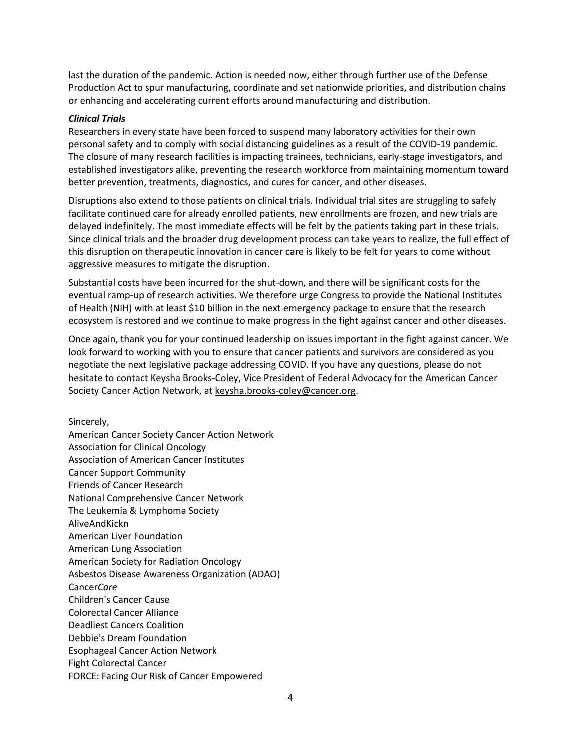last the duration of the pandemic. Action is needed now, either through further use of the Defense Production Act to spur manufacturing, coordinate and set nationwide priorities, and distribution chains or enhancing and accelerating current efforts around manufacturing and distribution.

#### *Clinical Trials*

Researchers in every state have been forced to suspend many laboratory activities for their own personal safety and to comply with social distancing guidelines as a result of the COVID-19 pandemic. The closure of many research facilities is impacting trainees, technicians, early-stage investigators, and established investigators alike, preventing the research workforce from maintaining momentum toward better prevention, treatments, diagnostics, and cures for cancer, and other diseases.

Disruptions also extend to those patients on clinical trials. Individual trial sites are struggling to safely facilitate continued care for already enrolled patients, new enrollments are frozen, and new trials are delayed indefinitely. The most immediate effects will be felt by the patients taking part in these trials. Since clinical trials and the broader drug development process can take years to realize, the full effect of this disruption on therapeutic innovation in cancer care is likely to be felt for years to come without aggressive measures to mitigate the disruption.

Substantial costs have been incurred for the shut-down, and there will be significant costs for the eventual ramp-up of research activities. We therefore urge Congress to provide the National Institutes of Health (NIH) with at least \$10 billion in the next emergency package to ensure that the research ecosystem is restored and we continue to make progress in the fight against cancer and other diseases.

Once again, thank you for your continued leadership on issues important in the fight against cancer. We look forward to working with you to ensure that cancer patients and survivors are considered as you negotiate the next legislative package addressing COVID. If you have any questions, please do not hesitate to contact Keysha Brooks-Coley, Vice President of Federal Advocacy for the American Cancer Society Cancer Action Network, a[t keysha.brooks-coley@cancer.org.](mailto:keysha.brooks-coley@cancer.org)

Sincerely, American Cancer Society Cancer Action Network Association for Clinical Oncology Association of American Cancer Institutes Cancer Support Community Friends of Cancer Research National Comprehensive Cancer Network The Leukemia & Lymphoma Society AliveAndKickn American Liver Foundation American Lung Association American Society for Radiation Oncology Asbestos Disease Awareness Organization (ADAO) Cancer*Care* Children's Cancer Cause Colorectal Cancer Alliance Deadliest Cancers Coalition Debbie's Dream Foundation Esophageal Cancer Action Network Fight Colorectal Cancer FORCE: Facing Our Risk of Cancer Empowered